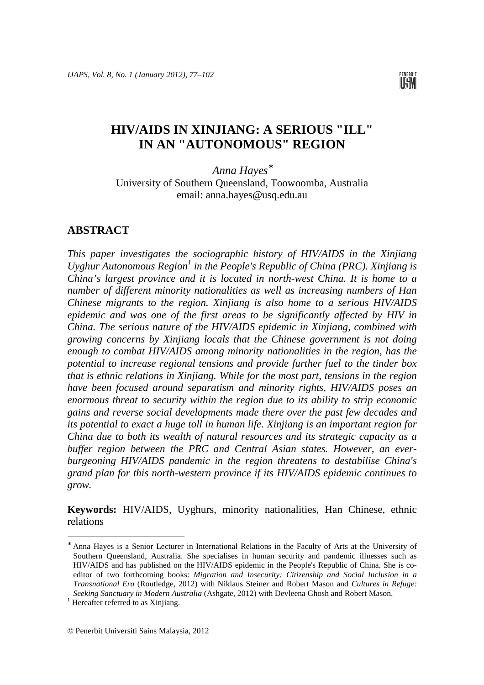

# **HIV/AIDS IN XINJIANG: A SERIOUS "ILL" IN AN "AUTONOMOUS" REGION**

*Anna Hayes*<sup>∗</sup> University of Southern Queensland, Toowoomba, Australia email: anna.hayes@usq.edu.au

#### **ABSTRACT**

*This paper investigates the sociographic history of HIV/AIDS in the Xinjiang*  Uyghur Autonomous Region<sup>1</sup> in the People's Republic of China (PRC). Xinjiang is *China's largest province and it is located in north-west China. It is home to a number of different minority nationalities as well as increasing numbers of Han Chinese migrants to the region. Xinjiang is also home to a serious HIV/AIDS epidemic and was one of the first areas to be significantly affected by HIV in China. The serious nature of the HIV/AIDS epidemic in Xinjiang, combined with growing concerns by Xinjiang locals that the Chinese government is not doing enough to combat HIV/AIDS among minority nationalities in the region, has the potential to increase regional tensions and provide further fuel to the tinder box that is ethnic relations in Xinjiang. While for the most part, tensions in the region have been focused around separatism and minority rights, HIV/AIDS poses an enormous threat to security within the region due to its ability to strip economic gains and reverse social developments made there over the past few decades and its potential to exact a huge toll in human life. Xinjiang is an important region for China due to both its wealth of natural resources and its strategic capacity as a buffer region between the PRC and Central Asian states. However, an everburgeoning HIV/AIDS pandemic in the region threatens to destabilise China's grand plan for this north-western province if its HIV/AIDS epidemic continues to grow.* 

**Keywords:** HIV/AIDS, Uyghurs, minority nationalities, Han Chinese, ethnic relations

 $\overline{\phantom{a}}$ 

<sup>∗</sup> Anna Hayes is a Senior Lecturer in International Relations in the Faculty of Arts at the University of Southern Queensland, Australia. She specialises in human security and pandemic illnesses such as HIV/AIDS and has published on the HIV/AIDS epidemic in the People's Republic of China. She is coeditor of two forthcoming books: *Migration and Insecurity: Citizenship and Social Inclusion in a Transnational Era* (Routledge, 2012) with Niklaus Steiner and Robert Mason and *Cultures in Refuge: Seeking Sanctuary in Modern Australia* (Ashgate, 2012) with Devleena Ghosh and Robert Mason.

<sup>&</sup>lt;sup>1</sup> Hereafter referred to as Xinjiang.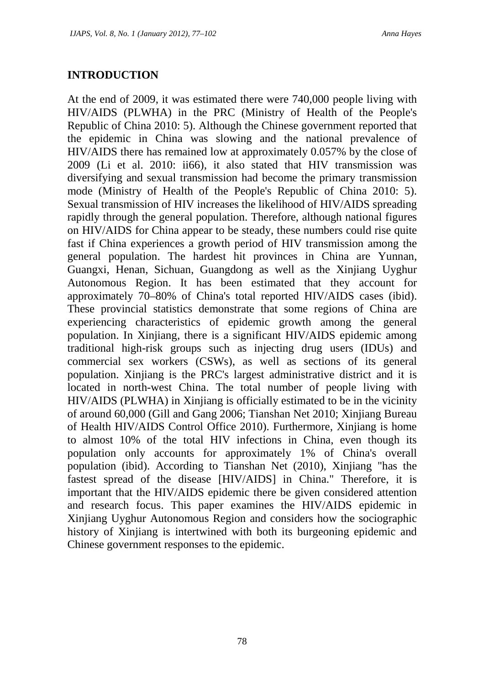## **INTRODUCTION**

At the end of 2009, it was estimated there were 740,000 people living with HIV/AIDS (PLWHA) in the PRC (Ministry of Health of the People's Republic of China 2010: 5). Although the Chinese government reported that the epidemic in China was slowing and the national prevalence of HIV/AIDS there has remained low at approximately 0.057% by the close of 2009 (Li et al. 2010: ii66), it also stated that HIV transmission was diversifying and sexual transmission had become the primary transmission mode (Ministry of Health of the People's Republic of China 2010: 5). Sexual transmission of HIV increases the likelihood of HIV/AIDS spreading rapidly through the general population. Therefore, although national figures on HIV/AIDS for China appear to be steady, these numbers could rise quite fast if China experiences a growth period of HIV transmission among the general population. The hardest hit provinces in China are Yunnan, Guangxi, Henan, Sichuan, Guangdong as well as the Xinjiang Uyghur Autonomous Region. It has been estimated that they account for approximately 70–80% of China's total reported HIV/AIDS cases (ibid). These provincial statistics demonstrate that some regions of China are experiencing characteristics of epidemic growth among the general population. In Xinjiang, there is a significant HIV/AIDS epidemic among traditional high-risk groups such as injecting drug users (IDUs) and commercial sex workers (CSWs), as well as sections of its general population. Xinjiang is the PRC's largest administrative district and it is located in north-west China. The total number of people living with HIV/AIDS (PLWHA) in Xinjiang is officially estimated to be in the vicinity of around 60,000 (Gill and Gang 2006; Tianshan Net 2010; Xinjiang Bureau of Health HIV/AIDS Control Office 2010). Furthermore, Xinjiang is home to almost 10% of the total HIV infections in China, even though its population only accounts for approximately 1% of China's overall population (ibid). According to Tianshan Net (2010), Xinjiang "has the fastest spread of the disease [HIV/AIDS] in China." Therefore, it is important that the HIV/AIDS epidemic there be given considered attention and research focus. This paper examines the HIV/AIDS epidemic in Xinjiang Uyghur Autonomous Region and considers how the sociographic history of Xinjiang is intertwined with both its burgeoning epidemic and Chinese government responses to the epidemic.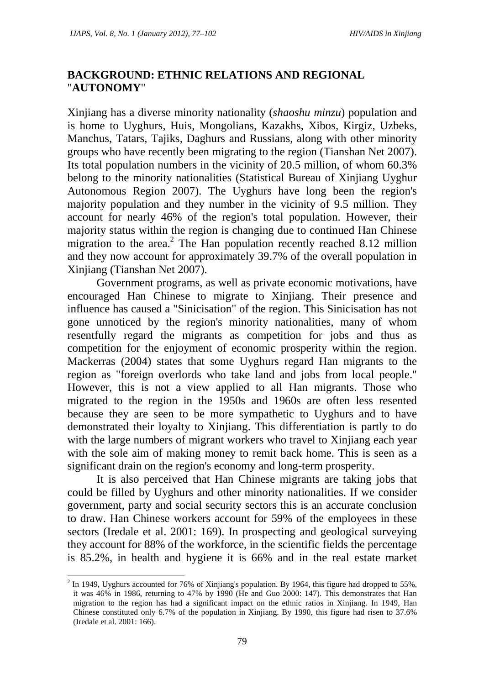## **BACKGROUND: ETHNIC RELATIONS AND REGIONAL**  "**AUTONOMY**"

Xinjiang has a diverse minority nationality (*shaoshu minzu*) population and is home to Uyghurs, Huis, Mongolians, Kazakhs, Xibos, Kirgiz, Uzbeks, Manchus, Tatars, Tajiks, Daghurs and Russians, along with other minority groups who have recently been migrating to the region (Tianshan Net 2007). Its total population numbers in the vicinity of 20.5 million, of whom 60.3% belong to the minority nationalities (Statistical Bureau of Xinjiang Uyghur Autonomous Region 2007). The Uyghurs have long been the region's majority population and they number in the vicinity of 9.5 million. They account for nearly 46% of the region's total population. However, their majority status within the region is changing due to continued Han Chinese migration to the area.<sup>2</sup> The Han population recently reached 8.12 million and they now account for approximately 39.7% of the overall population in Xinjiang (Tianshan Net 2007).

Government programs, as well as private economic motivations, have encouraged Han Chinese to migrate to Xinjiang. Their presence and influence has caused a "Sinicisation" of the region. This Sinicisation has not gone unnoticed by the region's minority nationalities, many of whom resentfully regard the migrants as competition for jobs and thus as competition for the enjoyment of economic prosperity within the region. Mackerras (2004) states that some Uyghurs regard Han migrants to the region as "foreign overlords who take land and jobs from local people." However, this is not a view applied to all Han migrants. Those who migrated to the region in the 1950s and 1960s are often less resented because they are seen to be more sympathetic to Uyghurs and to have demonstrated their loyalty to Xinjiang. This differentiation is partly to do with the large numbers of migrant workers who travel to Xinjiang each year with the sole aim of making money to remit back home. This is seen as a significant drain on the region's economy and long-term prosperity.

It is also perceived that Han Chinese migrants are taking jobs that could be filled by Uyghurs and other minority nationalities. If we consider government, party and social security sectors this is an accurate conclusion to draw. Han Chinese workers account for 59% of the employees in these sectors (Iredale et al. 2001: 169). In prospecting and geological surveying they account for 88% of the workforce, in the scientific fields the percentage is 85.2%, in health and hygiene it is 66% and in the real estate market

 $2$  In 1949, Uyghurs accounted for 76% of Xinjiang's population. By 1964, this figure had dropped to 55%, it was 46% in 1986, returning to 47% by 1990 (He and Guo 2000: 147). This demonstrates that Han migration to the region has had a significant impact on the ethnic ratios in Xinjiang. In 1949, Han Chinese constituted only 6.7% of the population in Xinjiang. By 1990, this figure had risen to 37.6% (Iredale et al. 2001: 166).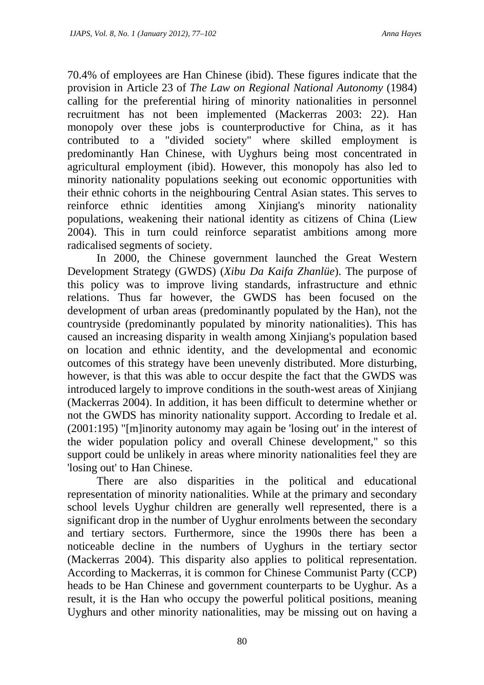70.4% of employees are Han Chinese (ibid). These figures indicate that the provision in Article 23 of *The Law on Regional National Autonomy* (1984) calling for the preferential hiring of minority nationalities in personnel recruitment has not been implemented (Mackerras 2003: 22). Han monopoly over these jobs is counterproductive for China, as it has contributed to a "divided society" where skilled employment is predominantly Han Chinese, with Uyghurs being most concentrated in agricultural employment (ibid). However, this monopoly has also led to minority nationality populations seeking out economic opportunities with their ethnic cohorts in the neighbouring Central Asian states. This serves to reinforce ethnic identities among Xinjiang's minority nationality populations, weakening their national identity as citizens of China (Liew 2004). This in turn could reinforce separatist ambitions among more radicalised segments of society.

In 2000, the Chinese government launched the Great Western Development Strategy (GWDS) (*Xibu Da Kaifa Zhanlüe*). The purpose of this policy was to improve living standards, infrastructure and ethnic relations. Thus far however, the GWDS has been focused on the development of urban areas (predominantly populated by the Han), not the countryside (predominantly populated by minority nationalities). This has caused an increasing disparity in wealth among Xinjiang's population based on location and ethnic identity, and the developmental and economic outcomes of this strategy have been unevenly distributed. More disturbing, however, is that this was able to occur despite the fact that the GWDS was introduced largely to improve conditions in the south-west areas of Xinjiang (Mackerras 2004). In addition, it has been difficult to determine whether or not the GWDS has minority nationality support. According to Iredale et al. (2001:195) "[m]inority autonomy may again be 'losing out' in the interest of the wider population policy and overall Chinese development," so this support could be unlikely in areas where minority nationalities feel they are 'losing out' to Han Chinese.

There are also disparities in the political and educational representation of minority nationalities. While at the primary and secondary school levels Uyghur children are generally well represented, there is a significant drop in the number of Uyghur enrolments between the secondary and tertiary sectors. Furthermore, since the 1990s there has been a noticeable decline in the numbers of Uyghurs in the tertiary sector (Mackerras 2004). This disparity also applies to political representation. According to Mackerras, it is common for Chinese Communist Party (CCP) heads to be Han Chinese and government counterparts to be Uyghur. As a result, it is the Han who occupy the powerful political positions, meaning Uyghurs and other minority nationalities, may be missing out on having a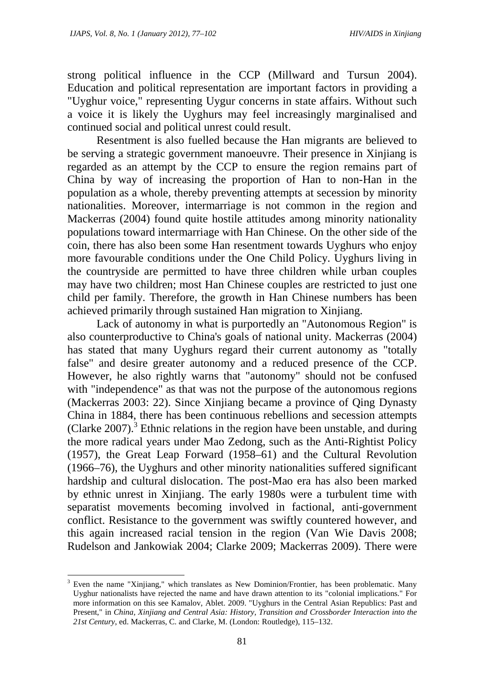strong political influence in the CCP (Millward and Tursun 2004). Education and political representation are important factors in providing a "Uyghur voice," representing Uygur concerns in state affairs. Without such a voice it is likely the Uyghurs may feel increasingly marginalised and continued social and political unrest could result.

Resentment is also fuelled because the Han migrants are believed to be serving a strategic government manoeuvre. Their presence in Xinjiang is regarded as an attempt by the CCP to ensure the region remains part of China by way of increasing the proportion of Han to non-Han in the population as a whole, thereby preventing attempts at secession by minority nationalities. Moreover, intermarriage is not common in the region and Mackerras (2004) found quite hostile attitudes among minority nationality populations toward intermarriage with Han Chinese. On the other side of the coin, there has also been some Han resentment towards Uyghurs who enjoy more favourable conditions under the One Child Policy. Uyghurs living in the countryside are permitted to have three children while urban couples may have two children; most Han Chinese couples are restricted to just one child per family. Therefore, the growth in Han Chinese numbers has been achieved primarily through sustained Han migration to Xinjiang.

Lack of autonomy in what is purportedly an "Autonomous Region" is also counterproductive to China's goals of national unity. Mackerras (2004) has stated that many Uyghurs regard their current autonomy as "totally false" and desire greater autonomy and a reduced presence of the CCP. However, he also rightly warns that "autonomy" should not be confused with "independence" as that was not the purpose of the autonomous regions (Mackerras 2003: 22). Since Xinjiang became a province of Qing Dynasty China in 1884, there has been continuous rebellions and secession attempts (Clarke 2007).<sup>3</sup> Ethnic relations in the region have been unstable, and during the more radical years under Mao Zedong, such as the Anti-Rightist Policy (1957), the Great Leap Forward (1958–61) and the Cultural Revolution (1966–76), the Uyghurs and other minority nationalities suffered significant hardship and cultural dislocation. The post-Mao era has also been marked by ethnic unrest in Xinjiang. The early 1980s were a turbulent time with separatist movements becoming involved in factional, anti-government conflict. Resistance to the government was swiftly countered however, and this again increased racial tension in the region (Van Wie Davis 2008; Rudelson and Jankowiak 2004; Clarke 2009; Mackerras 2009). There were

<sup>3</sup> Even the name "Xinjiang," which translates as New Dominion/Frontier, has been problematic. Many Uyghur nationalists have rejected the name and have drawn attention to its "colonial implications." For more information on this see Kamalov, Ablet. 2009. "Uyghurs in the Central Asian Republics: Past and Present," in *China, Xinjiang and Central Asia: History, Transition and Crossborder Interaction into the 21st Century*, ed. Mackerras, C. and Clarke, M. (London: Routledge), 115–132.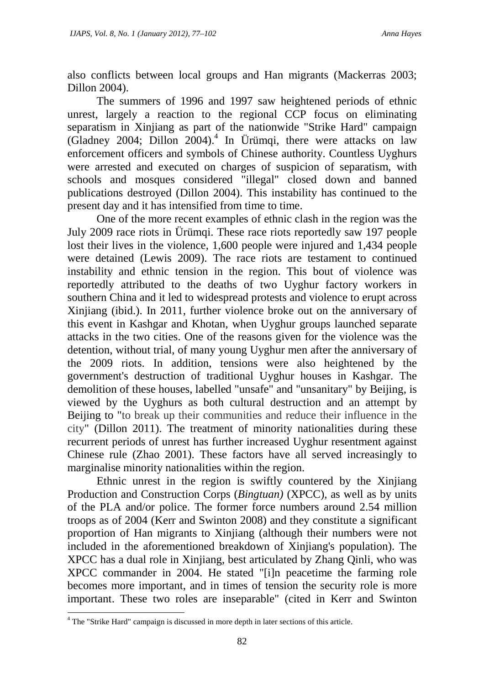also conflicts between local groups and Han migrants (Mackerras 2003; Dillon 2004).

The summers of 1996 and 1997 saw heightened periods of ethnic unrest, largely a reaction to the regional CCP focus on eliminating separatism in Xinjiang as part of the nationwide "Strike Hard" campaign (Gladney 2004; Dillon 2004).<sup>4</sup> In Ürümqi, there were attacks on law enforcement officers and symbols of Chinese authority. Countless Uyghurs were arrested and executed on charges of suspicion of separatism, with schools and mosques considered "illegal" closed down and banned publications destroyed (Dillon 2004). This instability has continued to the present day and it has intensified from time to time.

One of the more recent examples of ethnic clash in the region was the July 2009 race riots in Ürümqi. These race riots reportedly saw 197 people lost their lives in the violence, 1,600 people were injured and 1,434 people were detained (Lewis 2009). The race riots are testament to continued instability and ethnic tension in the region. This bout of violence was reportedly attributed to the deaths of two Uyghur factory workers in southern China and it led to widespread protests and violence to erupt across Xinjiang (ibid.). In 2011, further violence broke out on the anniversary of this event in Kashgar and Khotan, when Uyghur groups launched separate attacks in the two cities. One of the reasons given for the violence was the detention, without trial, of many young Uyghur men after the anniversary of the 2009 riots. In addition, tensions were also heightened by the government's destruction of traditional Uyghur houses in Kashgar. The demolition of these houses, labelled "unsafe" and "unsanitary" by Beijing, is viewed by the Uyghurs as both cultural destruction and an attempt by Beijing to "to break up their communities and reduce their influence in the city" (Dillon 2011). The treatment of minority nationalities during these recurrent periods of unrest has further increased Uyghur resentment against Chinese rule (Zhao 2001). These factors have all served increasingly to marginalise minority nationalities within the region.

Ethnic unrest in the region is swiftly countered by the Xinjiang Production and Construction Corps (*Bingtuan)* (XPCC), as well as by units of the PLA and/or police. The former force numbers around 2.54 million troops as of 2004 (Kerr and Swinton 2008) and they constitute a significant proportion of Han migrants to Xinjiang (although their numbers were not included in the aforementioned breakdown of Xinjiang's population). The XPCC has a dual role in Xinjiang, best articulated by Zhang Qinli, who was XPCC commander in 2004. He stated "[i]n peacetime the farming role becomes more important, and in times of tension the security role is more important. These two roles are inseparable" (cited in Kerr and Swinton

 $\overline{\phantom{a}}$ 

<sup>&</sup>lt;sup>4</sup> The "Strike Hard" campaign is discussed in more depth in later sections of this article.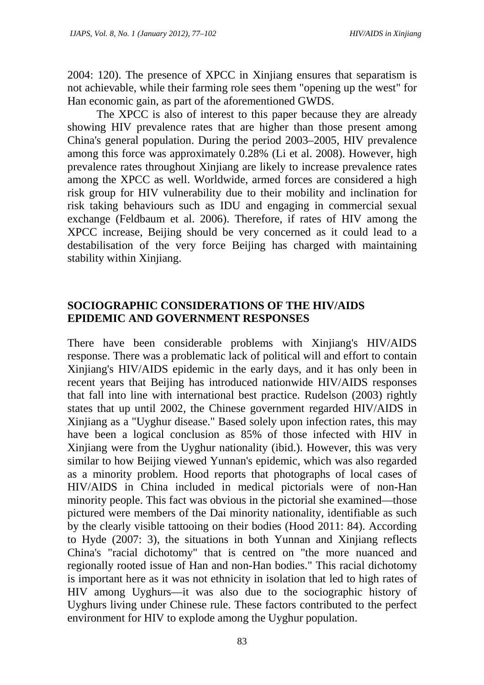2004: 120). The presence of XPCC in Xinjiang ensures that separatism is not achievable, while their farming role sees them "opening up the west" for Han economic gain, as part of the aforementioned GWDS.

The XPCC is also of interest to this paper because they are already showing HIV prevalence rates that are higher than those present among China's general population. During the period 2003–2005, HIV prevalence among this force was approximately 0.28% (Li et al. 2008). However, high prevalence rates throughout Xinjiang are likely to increase prevalence rates among the XPCC as well. Worldwide, armed forces are considered a high risk group for HIV vulnerability due to their mobility and inclination for risk taking behaviours such as IDU and engaging in commercial sexual exchange (Feldbaum et al. 2006). Therefore, if rates of HIV among the XPCC increase, Beijing should be very concerned as it could lead to a destabilisation of the very force Beijing has charged with maintaining stability within Xinjiang.

### **SOCIOGRAPHIC CONSIDERATIONS OF THE HIV/AIDS EPIDEMIC AND GOVERNMENT RESPONSES**

There have been considerable problems with Xinjiang's HIV/AIDS response. There was a problematic lack of political will and effort to contain Xinjiang's HIV/AIDS epidemic in the early days, and it has only been in recent years that Beijing has introduced nationwide HIV/AIDS responses that fall into line with international best practice. Rudelson (2003) rightly states that up until 2002, the Chinese government regarded HIV/AIDS in Xinjiang as a "Uyghur disease." Based solely upon infection rates, this may have been a logical conclusion as 85% of those infected with HIV in Xinjiang were from the Uyghur nationality (ibid.). However, this was very similar to how Beijing viewed Yunnan's epidemic, which was also regarded as a minority problem. Hood reports that photographs of local cases of HIV/AIDS in China included in medical pictorials were of non-Han minority people. This fact was obvious in the pictorial she examined—those pictured were members of the Dai minority nationality, identifiable as such by the clearly visible tattooing on their bodies (Hood 2011: 84). According to Hyde (2007: 3), the situations in both Yunnan and Xinjiang reflects China's "racial dichotomy" that is centred on "the more nuanced and regionally rooted issue of Han and non-Han bodies." This racial dichotomy is important here as it was not ethnicity in isolation that led to high rates of HIV among Uyghurs—it was also due to the sociographic history of Uyghurs living under Chinese rule. These factors contributed to the perfect environment for HIV to explode among the Uyghur population.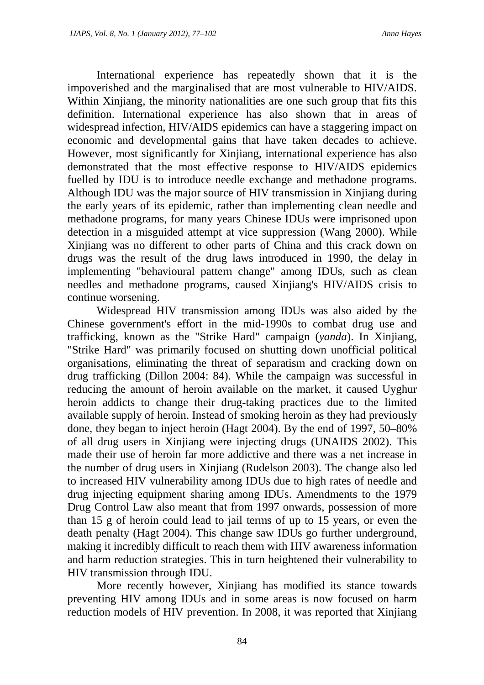International experience has repeatedly shown that it is the impoverished and the marginalised that are most vulnerable to HIV/AIDS. Within Xinjiang, the minority nationalities are one such group that fits this definition. International experience has also shown that in areas of widespread infection, HIV/AIDS epidemics can have a staggering impact on economic and developmental gains that have taken decades to achieve. However, most significantly for Xinjiang, international experience has also demonstrated that the most effective response to HIV/AIDS epidemics fuelled by IDU is to introduce needle exchange and methadone programs. Although IDU was the major source of HIV transmission in Xinjiang during the early years of its epidemic, rather than implementing clean needle and methadone programs, for many years Chinese IDUs were imprisoned upon detection in a misguided attempt at vice suppression (Wang 2000). While Xinjiang was no different to other parts of China and this crack down on drugs was the result of the drug laws introduced in 1990, the delay in implementing "behavioural pattern change" among IDUs, such as clean needles and methadone programs, caused Xinjiang's HIV/AIDS crisis to continue worsening.

Widespread HIV transmission among IDUs was also aided by the Chinese government's effort in the mid-1990s to combat drug use and trafficking, known as the "Strike Hard" campaign (*yanda*). In Xinjiang, "Strike Hard" was primarily focused on shutting down unofficial political organisations, eliminating the threat of separatism and cracking down on drug trafficking (Dillon 2004: 84). While the campaign was successful in reducing the amount of heroin available on the market, it caused Uyghur heroin addicts to change their drug-taking practices due to the limited available supply of heroin. Instead of smoking heroin as they had previously done, they began to inject heroin (Hagt 2004). By the end of 1997, 50–80% of all drug users in Xinjiang were injecting drugs (UNAIDS 2002). This made their use of heroin far more addictive and there was a net increase in the number of drug users in Xinjiang (Rudelson 2003). The change also led to increased HIV vulnerability among IDUs due to high rates of needle and drug injecting equipment sharing among IDUs. Amendments to the 1979 Drug Control Law also meant that from 1997 onwards, possession of more than 15 g of heroin could lead to jail terms of up to 15 years, or even the death penalty (Hagt 2004). This change saw IDUs go further underground, making it incredibly difficult to reach them with HIV awareness information and harm reduction strategies. This in turn heightened their vulnerability to HIV transmission through IDU.

More recently however, Xinjiang has modified its stance towards preventing HIV among IDUs and in some areas is now focused on harm reduction models of HIV prevention. In 2008, it was reported that Xinjiang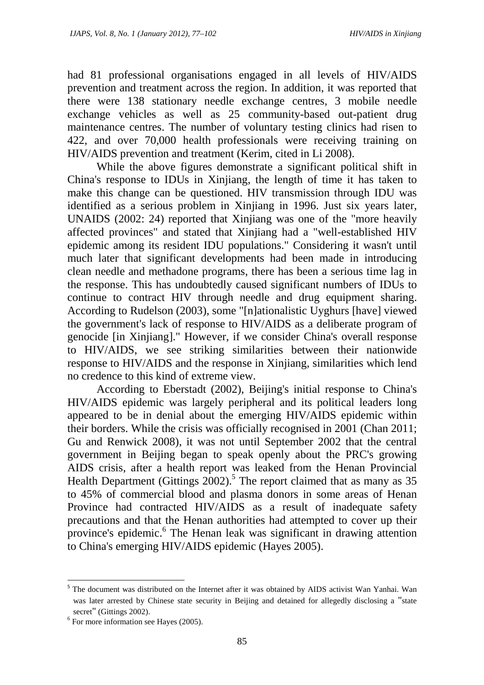had 81 professional organisations engaged in all levels of HIV/AIDS prevention and treatment across the region. In addition, it was reported that there were 138 stationary needle exchange centres, 3 mobile needle exchange vehicles as well as 25 community-based out-patient drug maintenance centres. The number of voluntary testing clinics had risen to 422, and over 70,000 health professionals were receiving training on HIV/AIDS prevention and treatment (Kerim, cited in Li 2008).

While the above figures demonstrate a significant political shift in China's response to IDUs in Xinjiang, the length of time it has taken to make this change can be questioned. HIV transmission through IDU was identified as a serious problem in Xinjiang in 1996. Just six years later, UNAIDS (2002: 24) reported that Xinjiang was one of the "more heavily affected provinces" and stated that Xinjiang had a "well-established HIV epidemic among its resident IDU populations." Considering it wasn't until much later that significant developments had been made in introducing clean needle and methadone programs, there has been a serious time lag in the response. This has undoubtedly caused significant numbers of IDUs to continue to contract HIV through needle and drug equipment sharing. According to Rudelson (2003), some "[n]ationalistic Uyghurs [have] viewed the government's lack of response to HIV/AIDS as a deliberate program of genocide [in Xinjiang]." However, if we consider China's overall response to HIV/AIDS, we see striking similarities between their nationwide response to HIV/AIDS and the response in Xinjiang, similarities which lend no credence to this kind of extreme view.

According to Eberstadt (2002), Beijing's initial response to China's HIV/AIDS epidemic was largely peripheral and its political leaders long appeared to be in denial about the emerging HIV/AIDS epidemic within their borders. While the crisis was officially recognised in 2001 (Chan 2011; Gu and Renwick 2008), it was not until September 2002 that the central government in Beijing began to speak openly about the PRC's growing AIDS crisis, after a health report was leaked from the Henan Provincial Health Department (Gittings  $2002$ ).<sup>5</sup> The report claimed that as many as 35 to 45% of commercial blood and plasma donors in some areas of Henan Province had contracted HIV/AIDS as a result of inadequate safety precautions and that the Henan authorities had attempted to cover up their province's epidemic.<sup>6</sup> The Henan leak was significant in drawing attention to China's emerging HIV/AIDS epidemic (Hayes 2005).

 $\overline{\phantom{a}}$ 

<sup>&</sup>lt;sup>5</sup> The document was distributed on the Internet after it was obtained by AIDS activist Wan Yanhai. Wan was later arrested by Chinese state security in Beijing and detained for allegedly disclosing a "state secret" (Gittings 2002).

<sup>6</sup> For more information see Hayes (2005).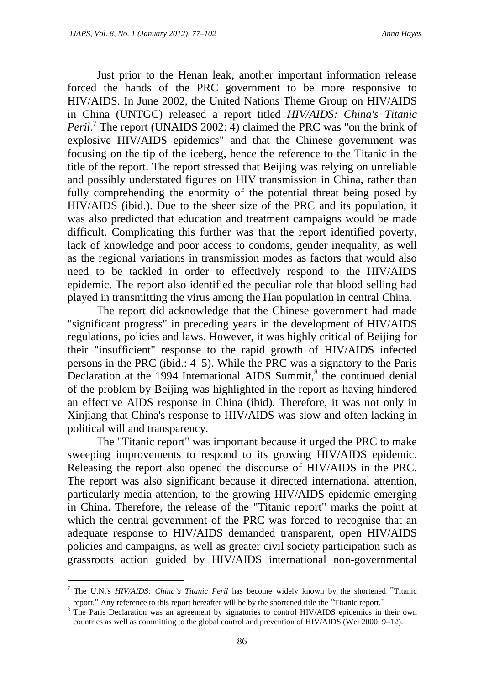Just prior to the Henan leak, another important information release forced the hands of the PRC government to be more responsive to HIV/AIDS. In June 2002, the United Nations Theme Group on HIV/AIDS in China (UNTGC) released a report titled *HIV/AIDS: China's Titanic Peril*.<sup>7</sup> The report (UNAIDS 2002: 4) claimed the PRC was "on the brink of explosive HIV/AIDS epidemics" and that the Chinese government was focusing on the tip of the iceberg, hence the reference to the Titanic in the title of the report. The report stressed that Beijing was relying on unreliable and possibly understated figures on HIV transmission in China, rather than fully comprehending the enormity of the potential threat being posed by HIV/AIDS (ibid.). Due to the sheer size of the PRC and its population, it was also predicted that education and treatment campaigns would be made difficult. Complicating this further was that the report identified poverty, lack of knowledge and poor access to condoms, gender inequality, as well as the regional variations in transmission modes as factors that would also need to be tackled in order to effectively respond to the HIV/AIDS epidemic. The report also identified the peculiar role that blood selling had played in transmitting the virus among the Han population in central China.

The report did acknowledge that the Chinese government had made "significant progress" in preceding years in the development of HIV/AIDS regulations, policies and laws. However, it was highly critical of Beijing for their "insufficient" response to the rapid growth of HIV/AIDS infected persons in the PRC (ibid.: 4–5). While the PRC was a signatory to the Paris Declaration at the 1994 International AIDS Summit,<sup>8</sup> the continued denial of the problem by Beijing was highlighted in the report as having hindered an effective AIDS response in China (ibid). Therefore, it was not only in Xinjiang that China's response to HIV/AIDS was slow and often lacking in political will and transparency.

The "Titanic report" was important because it urged the PRC to make sweeping improvements to respond to its growing HIV/AIDS epidemic. Releasing the report also opened the discourse of HIV/AIDS in the PRC. The report was also significant because it directed international attention, particularly media attention, to the growing HIV/AIDS epidemic emerging in China. Therefore, the release of the "Titanic report" marks the point at which the central government of the PRC was forced to recognise that an adequate response to HIV/AIDS demanded transparent, open HIV/AIDS policies and campaigns, as well as greater civil society participation such as grassroots action guided by HIV/AIDS international non-governmental

 $\overline{\phantom{a}}$ 

<sup>7</sup> The U.N.'s *HIV/AIDS: China's Titanic Peril* has become widely known by the shortened "Titanic report." Any reference to this report hereafter will be by the shortened title the "Titanic report."

<sup>8</sup> The Paris Declaration was an agreement by signatories to control HIV/AIDS epidemics in their own countries as well as committing to the global control and prevention of HIV/AIDS (Wei 2000: 9–12).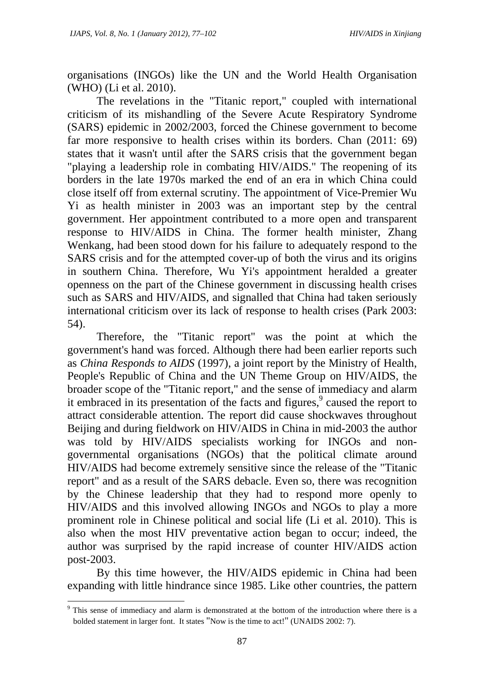organisations (INGOs) like the UN and the World Health Organisation (WHO) (Li et al. 2010).

The revelations in the "Titanic report," coupled with international criticism of its mishandling of the Severe Acute Respiratory Syndrome (SARS) epidemic in 2002/2003, forced the Chinese government to become far more responsive to health crises within its borders. Chan (2011: 69) states that it wasn't until after the SARS crisis that the government began "playing a leadership role in combating HIV/AIDS." The reopening of its borders in the late 1970s marked the end of an era in which China could close itself off from external scrutiny. The appointment of Vice-Premier Wu Yi as health minister in 2003 was an important step by the central government. Her appointment contributed to a more open and transparent response to HIV/AIDS in China. The former health minister, Zhang Wenkang, had been stood down for his failure to adequately respond to the SARS crisis and for the attempted cover-up of both the virus and its origins in southern China. Therefore, Wu Yi's appointment heralded a greater openness on the part of the Chinese government in discussing health crises such as SARS and HIV/AIDS, and signalled that China had taken seriously international criticism over its lack of response to health crises (Park 2003: 54).

Therefore, the "Titanic report" was the point at which the government's hand was forced. Although there had been earlier reports such as *China Responds to AIDS* (1997), a joint report by the Ministry of Health, People's Republic of China and the UN Theme Group on HIV/AIDS, the broader scope of the "Titanic report," and the sense of immediacy and alarm it embraced in its presentation of the facts and figures,<sup>9</sup> caused the report to attract considerable attention. The report did cause shockwaves throughout Beijing and during fieldwork on HIV/AIDS in China in mid-2003 the author was told by HIV/AIDS specialists working for INGOs and nongovernmental organisations (NGOs) that the political climate around HIV/AIDS had become extremely sensitive since the release of the "Titanic report" and as a result of the SARS debacle. Even so, there was recognition by the Chinese leadership that they had to respond more openly to HIV/AIDS and this involved allowing INGOs and NGOs to play a more prominent role in Chinese political and social life (Li et al. 2010). This is also when the most HIV preventative action began to occur; indeed, the author was surprised by the rapid increase of counter HIV/AIDS action post-2003.

By this time however, the HIV/AIDS epidemic in China had been expanding with little hindrance since 1985. Like other countries, the pattern

l

<sup>&</sup>lt;sup>9</sup> This sense of immediacy and alarm is demonstrated at the bottom of the introduction where there is a bolded statement in larger font. It states "Now is the time to act!" (UNAIDS 2002: 7).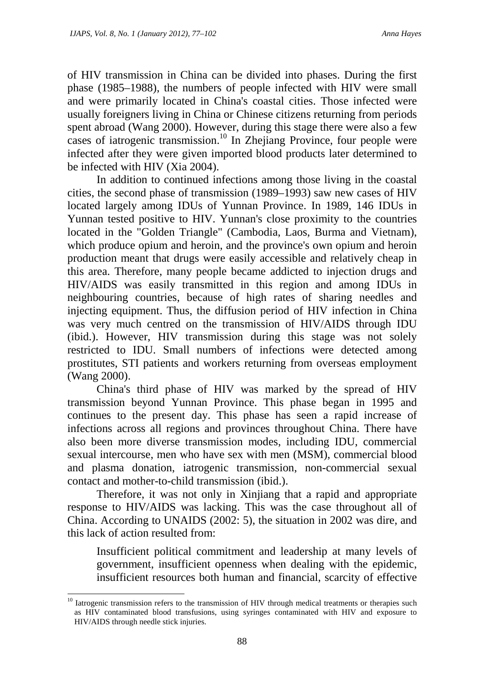of HIV transmission in China can be divided into phases. During the first phase (1985–1988), the numbers of people infected with HIV were small and were primarily located in China's coastal cities. Those infected were usually foreigners living in China or Chinese citizens returning from periods spent abroad (Wang 2000). However, during this stage there were also a few cases of iatrogenic transmission.<sup>10</sup> In Zhejiang Province, four people were infected after they were given imported blood products later determined to be infected with HIV (Xia 2004).

In addition to continued infections among those living in the coastal cities, the second phase of transmission (1989–1993) saw new cases of HIV located largely among IDUs of Yunnan Province. In 1989, 146 IDUs in Yunnan tested positive to HIV. Yunnan's close proximity to the countries located in the "Golden Triangle" (Cambodia, Laos, Burma and Vietnam), which produce opium and heroin, and the province's own opium and heroin production meant that drugs were easily accessible and relatively cheap in this area. Therefore, many people became addicted to injection drugs and HIV/AIDS was easily transmitted in this region and among IDUs in neighbouring countries, because of high rates of sharing needles and injecting equipment. Thus, the diffusion period of HIV infection in China was very much centred on the transmission of HIV/AIDS through IDU (ibid.). However, HIV transmission during this stage was not solely restricted to IDU. Small numbers of infections were detected among prostitutes, STI patients and workers returning from overseas employment (Wang 2000).

China's third phase of HIV was marked by the spread of HIV transmission beyond Yunnan Province. This phase began in 1995 and continues to the present day. This phase has seen a rapid increase of infections across all regions and provinces throughout China. There have also been more diverse transmission modes, including IDU, commercial sexual intercourse, men who have sex with men (MSM), commercial blood and plasma donation, iatrogenic transmission, non-commercial sexual contact and mother-to-child transmission (ibid.).

Therefore, it was not only in Xinjiang that a rapid and appropriate response to HIV/AIDS was lacking. This was the case throughout all of China. According to UNAIDS (2002: 5), the situation in 2002 was dire, and this lack of action resulted from:

Insufficient political commitment and leadership at many levels of government, insufficient openness when dealing with the epidemic, insufficient resources both human and financial, scarcity of effective

 $10$  Iatrogenic transmission refers to the transmission of HIV through medical treatments or therapies such as HIV contaminated blood transfusions, using syringes contaminated with HIV and exposure to HIV/AIDS through needle stick injuries.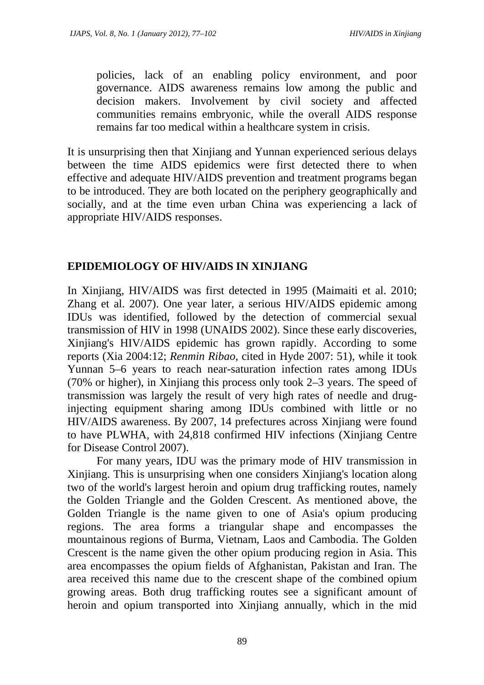policies, lack of an enabling policy environment, and poor governance. AIDS awareness remains low among the public and decision makers. Involvement by civil society and affected communities remains embryonic, while the overall AIDS response remains far too medical within a healthcare system in crisis.

It is unsurprising then that Xinjiang and Yunnan experienced serious delays between the time AIDS epidemics were first detected there to when effective and adequate HIV/AIDS prevention and treatment programs began to be introduced. They are both located on the periphery geographically and socially, and at the time even urban China was experiencing a lack of appropriate HIV/AIDS responses.

## **EPIDEMIOLOGY OF HIV/AIDS IN XINJIANG**

In Xinjiang, HIV/AIDS was first detected in 1995 (Maimaiti et al. 2010; Zhang et al. 2007). One year later, a serious HIV/AIDS epidemic among IDUs was identified, followed by the detection of commercial sexual transmission of HIV in 1998 (UNAIDS 2002). Since these early discoveries, Xinjiang's HIV/AIDS epidemic has grown rapidly. According to some reports (Xia 2004:12; *Renmin Ribao*, cited in Hyde 2007: 51), while it took Yunnan 5–6 years to reach near-saturation infection rates among IDUs (70% or higher), in Xinjiang this process only took 2–3 years. The speed of transmission was largely the result of very high rates of needle and druginjecting equipment sharing among IDUs combined with little or no HIV/AIDS awareness. By 2007, 14 prefectures across Xinjiang were found to have PLWHA, with 24,818 confirmed HIV infections (Xinjiang Centre for Disease Control 2007).

For many years, IDU was the primary mode of HIV transmission in Xinjiang. This is unsurprising when one considers Xinjiang's location along two of the world's largest heroin and opium drug trafficking routes, namely the Golden Triangle and the Golden Crescent. As mentioned above, the Golden Triangle is the name given to one of Asia's opium producing regions. The area forms a triangular shape and encompasses the mountainous regions of Burma, Vietnam, Laos and Cambodia. The Golden Crescent is the name given the other opium producing region in Asia. This area encompasses the opium fields of Afghanistan, Pakistan and Iran. The area received this name due to the crescent shape of the combined opium growing areas. Both drug trafficking routes see a significant amount of heroin and opium transported into Xinjiang annually, which in the mid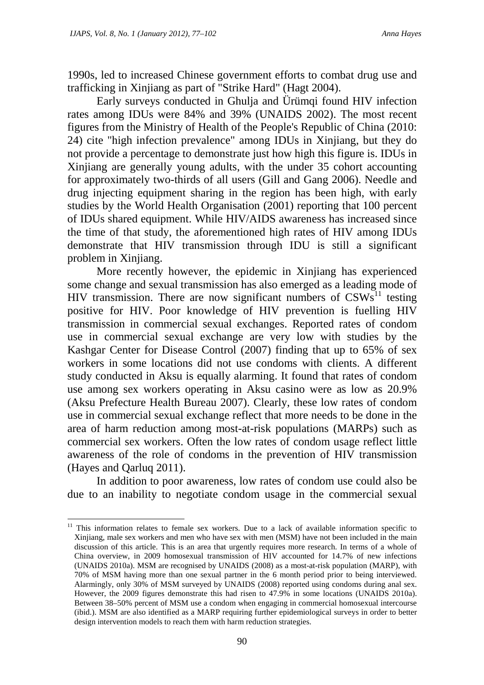1990s, led to increased Chinese government efforts to combat drug use and trafficking in Xinjiang as part of "Strike Hard" (Hagt 2004).

Early surveys conducted in Ghulja and Ürümqi found HIV infection rates among IDUs were 84% and 39% (UNAIDS 2002). The most recent figures from the Ministry of Health of the People's Republic of China (2010: 24) cite "high infection prevalence" among IDUs in Xinjiang, but they do not provide a percentage to demonstrate just how high this figure is. IDUs in Xinjiang are generally young adults, with the under 35 cohort accounting for approximately two-thirds of all users (Gill and Gang 2006). Needle and drug injecting equipment sharing in the region has been high, with early studies by the World Health Organisation (2001) reporting that 100 percent of IDUs shared equipment. While HIV/AIDS awareness has increased since the time of that study, the aforementioned high rates of HIV among IDUs demonstrate that HIV transmission through IDU is still a significant problem in Xinjiang.

More recently however, the epidemic in Xinjiang has experienced some change and sexual transmission has also emerged as a leading mode of HIV transmission. There are now significant numbers of  $CSWs<sup>11</sup>$  testing positive for HIV. Poor knowledge of HIV prevention is fuelling HIV transmission in commercial sexual exchanges. Reported rates of condom use in commercial sexual exchange are very low with studies by the Kashgar Center for Disease Control (2007) finding that up to 65% of sex workers in some locations did not use condoms with clients. A different study conducted in Aksu is equally alarming. It found that rates of condom use among sex workers operating in Aksu casino were as low as 20.9% (Aksu Prefecture Health Bureau 2007). Clearly, these low rates of condom use in commercial sexual exchange reflect that more needs to be done in the area of harm reduction among most-at-risk populations (MARPs) such as commercial sex workers. Often the low rates of condom usage reflect little awareness of the role of condoms in the prevention of HIV transmission (Hayes and Qarluq 2011).

In addition to poor awareness, low rates of condom use could also be due to an inability to negotiate condom usage in the commercial sexual

<sup>&</sup>lt;sup>11</sup> This information relates to female sex workers. Due to a lack of available information specific to Xinjiang, male sex workers and men who have sex with men (MSM) have not been included in the main discussion of this article. This is an area that urgently requires more research. In terms of a whole of China overview, in 2009 homosexual transmission of HIV accounted for 14.7% of new infections (UNAIDS 2010a). MSM are recognised by UNAIDS (2008) as a most-at-risk population (MARP), with 70% of MSM having more than one sexual partner in the 6 month period prior to being interviewed. Alarmingly, only 30% of MSM surveyed by UNAIDS (2008) reported using condoms during anal sex. However, the 2009 figures demonstrate this had risen to 47.9% in some locations (UNAIDS 2010a). Between 38–50% percent of MSM use a condom when engaging in commercial homosexual intercourse (ibid.). MSM are also identified as a MARP requiring further epidemiological surveys in order to better design intervention models to reach them with harm reduction strategies.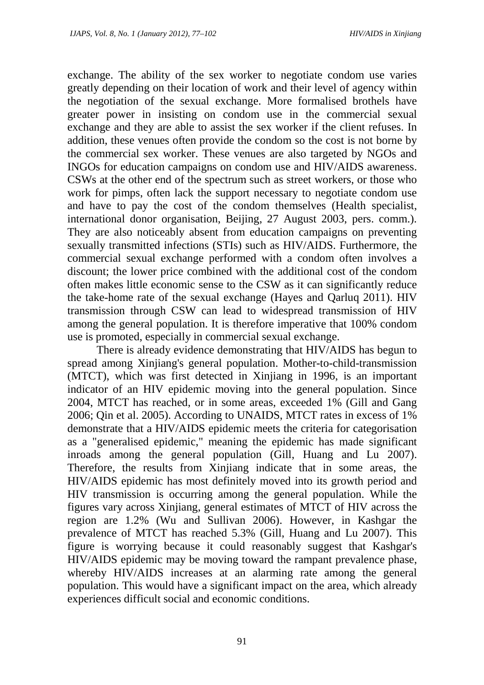exchange. The ability of the sex worker to negotiate condom use varies greatly depending on their location of work and their level of agency within the negotiation of the sexual exchange. More formalised brothels have greater power in insisting on condom use in the commercial sexual exchange and they are able to assist the sex worker if the client refuses. In addition, these venues often provide the condom so the cost is not borne by the commercial sex worker. These venues are also targeted by NGOs and INGOs for education campaigns on condom use and HIV/AIDS awareness. CSWs at the other end of the spectrum such as street workers, or those who work for pimps, often lack the support necessary to negotiate condom use and have to pay the cost of the condom themselves (Health specialist, international donor organisation, Beijing, 27 August 2003, pers. comm.). They are also noticeably absent from education campaigns on preventing sexually transmitted infections (STIs) such as HIV/AIDS. Furthermore, the commercial sexual exchange performed with a condom often involves a discount; the lower price combined with the additional cost of the condom often makes little economic sense to the CSW as it can significantly reduce the take-home rate of the sexual exchange (Hayes and Qarluq 2011). HIV transmission through CSW can lead to widespread transmission of HIV among the general population. It is therefore imperative that 100% condom use is promoted, especially in commercial sexual exchange.

There is already evidence demonstrating that HIV/AIDS has begun to spread among Xinjiang's general population. Mother-to-child-transmission (MTCT), which was first detected in Xinjiang in 1996, is an important indicator of an HIV epidemic moving into the general population. Since 2004, MTCT has reached, or in some areas, exceeded 1% (Gill and Gang 2006; Qin et al. 2005). According to UNAIDS, MTCT rates in excess of 1% demonstrate that a HIV/AIDS epidemic meets the criteria for categorisation as a "generalised epidemic," meaning the epidemic has made significant inroads among the general population (Gill, Huang and Lu 2007). Therefore, the results from Xinjiang indicate that in some areas, the HIV/AIDS epidemic has most definitely moved into its growth period and HIV transmission is occurring among the general population. While the figures vary across Xinjiang, general estimates of MTCT of HIV across the region are 1.2% (Wu and Sullivan 2006). However, in Kashgar the prevalence of MTCT has reached 5.3% (Gill, Huang and Lu 2007). This figure is worrying because it could reasonably suggest that Kashgar's HIV/AIDS epidemic may be moving toward the rampant prevalence phase, whereby HIV/AIDS increases at an alarming rate among the general population. This would have a significant impact on the area, which already experiences difficult social and economic conditions.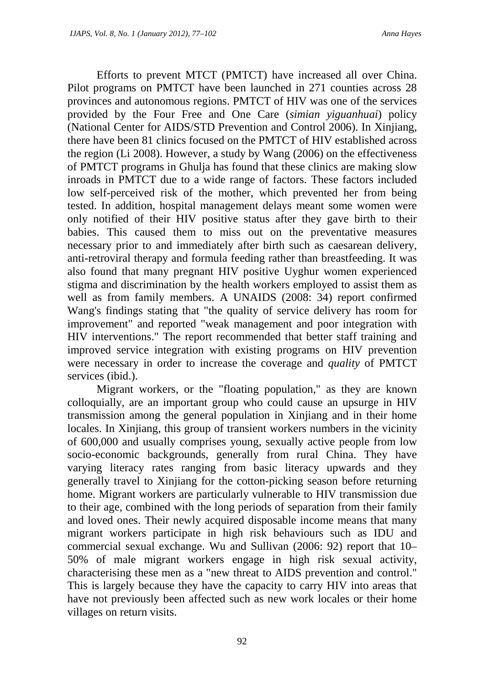Efforts to prevent MTCT (PMTCT) have increased all over China. Pilot programs on PMTCT have been launched in 271 counties across 28 provinces and autonomous regions. PMTCT of HIV was one of the services provided by the Four Free and One Care (*simian yiguanhuai*) policy (National Center for AIDS/STD Prevention and Control 2006). In Xinjiang, there have been 81 clinics focused on the PMTCT of HIV established across the region (Li 2008). However, a study by Wang (2006) on the effectiveness of PMTCT programs in Ghulja has found that these clinics are making slow inroads in PMTCT due to a wide range of factors. These factors included low self-perceived risk of the mother, which prevented her from being tested. In addition, hospital management delays meant some women were only notified of their HIV positive status after they gave birth to their babies. This caused them to miss out on the preventative measures necessary prior to and immediately after birth such as caesarean delivery, anti-retroviral therapy and formula feeding rather than breastfeeding. It was also found that many pregnant HIV positive Uyghur women experienced stigma and discrimination by the health workers employed to assist them as well as from family members. A UNAIDS (2008: 34) report confirmed Wang's findings stating that "the quality of service delivery has room for improvement" and reported "weak management and poor integration with HIV interventions." The report recommended that better staff training and improved service integration with existing programs on HIV prevention were necessary in order to increase the coverage and *quality* of PMTCT services (ibid.).

Migrant workers, or the "floating population," as they are known colloquially, are an important group who could cause an upsurge in HIV transmission among the general population in Xinjiang and in their home locales. In Xinjiang, this group of transient workers numbers in the vicinity of 600,000 and usually comprises young, sexually active people from low socio-economic backgrounds, generally from rural China. They have varying literacy rates ranging from basic literacy upwards and they generally travel to Xinjiang for the cotton-picking season before returning home. Migrant workers are particularly vulnerable to HIV transmission due to their age, combined with the long periods of separation from their family and loved ones. Their newly acquired disposable income means that many migrant workers participate in high risk behaviours such as IDU and commercial sexual exchange. Wu and Sullivan (2006: 92) report that 10– 50% of male migrant workers engage in high risk sexual activity, characterising these men as a "new threat to AIDS prevention and control." This is largely because they have the capacity to carry HIV into areas that have not previously been affected such as new work locales or their home villages on return visits.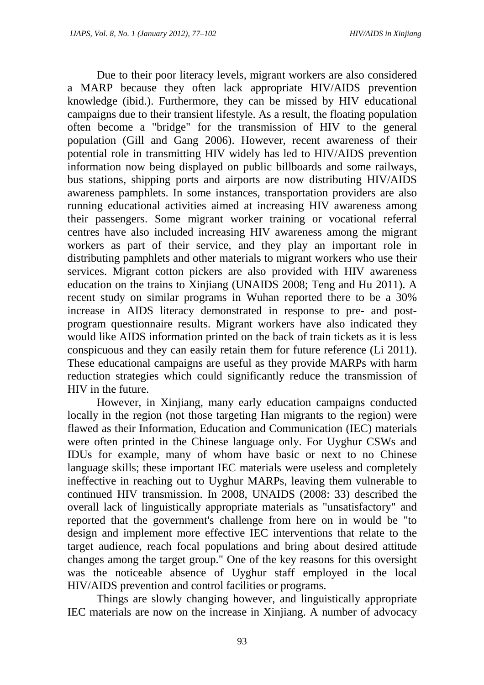Due to their poor literacy levels, migrant workers are also considered a MARP because they often lack appropriate HIV/AIDS prevention knowledge (ibid.). Furthermore, they can be missed by HIV educational campaigns due to their transient lifestyle. As a result, the floating population often become a "bridge" for the transmission of HIV to the general population (Gill and Gang 2006). However, recent awareness of their potential role in transmitting HIV widely has led to HIV/AIDS prevention information now being displayed on public billboards and some railways, bus stations, shipping ports and airports are now distributing HIV/AIDS awareness pamphlets. In some instances, transportation providers are also running educational activities aimed at increasing HIV awareness among their passengers. Some migrant worker training or vocational referral centres have also included increasing HIV awareness among the migrant workers as part of their service, and they play an important role in distributing pamphlets and other materials to migrant workers who use their services. Migrant cotton pickers are also provided with HIV awareness education on the trains to Xinjiang (UNAIDS 2008; Teng and Hu 2011). A recent study on similar programs in Wuhan reported there to be a 30% increase in AIDS literacy demonstrated in response to pre- and postprogram questionnaire results. Migrant workers have also indicated they would like AIDS information printed on the back of train tickets as it is less conspicuous and they can easily retain them for future reference (Li 2011). These educational campaigns are useful as they provide MARPs with harm reduction strategies which could significantly reduce the transmission of HIV in the future.

However, in Xinjiang, many early education campaigns conducted locally in the region (not those targeting Han migrants to the region) were flawed as their Information, Education and Communication (IEC) materials were often printed in the Chinese language only. For Uyghur CSWs and IDUs for example, many of whom have basic or next to no Chinese language skills; these important IEC materials were useless and completely ineffective in reaching out to Uyghur MARPs, leaving them vulnerable to continued HIV transmission. In 2008, UNAIDS (2008: 33) described the overall lack of linguistically appropriate materials as "unsatisfactory" and reported that the government's challenge from here on in would be "to design and implement more effective IEC interventions that relate to the target audience, reach focal populations and bring about desired attitude changes among the target group." One of the key reasons for this oversight was the noticeable absence of Uyghur staff employed in the local HIV/AIDS prevention and control facilities or programs.

Things are slowly changing however, and linguistically appropriate IEC materials are now on the increase in Xinjiang. A number of advocacy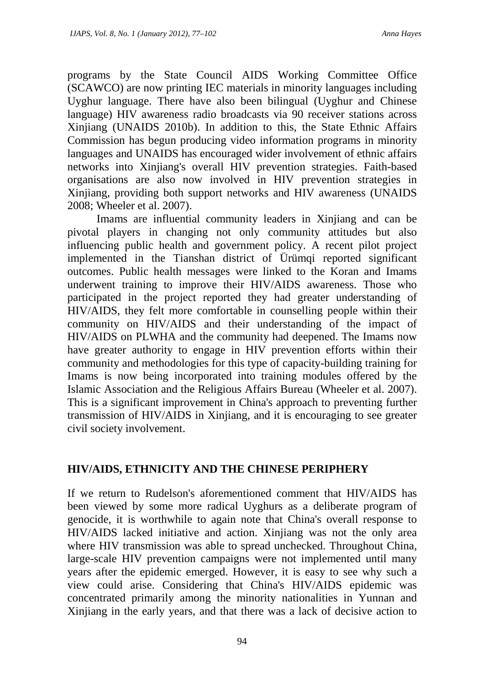programs by the State Council AIDS Working Committee Office (SCAWCO) are now printing IEC materials in minority languages including Uyghur language. There have also been bilingual (Uyghur and Chinese language) HIV awareness radio broadcasts via 90 receiver stations across Xinjiang (UNAIDS 2010b). In addition to this, the State Ethnic Affairs Commission has begun producing video information programs in minority languages and UNAIDS has encouraged wider involvement of ethnic affairs networks into Xinjiang's overall HIV prevention strategies. Faith-based organisations are also now involved in HIV prevention strategies in Xinjiang, providing both support networks and HIV awareness (UNAIDS 2008; Wheeler et al. 2007).

Imams are influential community leaders in Xinjiang and can be pivotal players in changing not only community attitudes but also influencing public health and government policy. A recent pilot project implemented in the Tianshan district of Ürümqi reported significant outcomes. Public health messages were linked to the Koran and Imams underwent training to improve their HIV/AIDS awareness. Those who participated in the project reported they had greater understanding of HIV/AIDS, they felt more comfortable in counselling people within their community on HIV/AIDS and their understanding of the impact of HIV/AIDS on PLWHA and the community had deepened. The Imams now have greater authority to engage in HIV prevention efforts within their community and methodologies for this type of capacity-building training for Imams is now being incorporated into training modules offered by the Islamic Association and the Religious Affairs Bureau (Wheeler et al. 2007). This is a significant improvement in China's approach to preventing further transmission of HIV/AIDS in Xinjiang, and it is encouraging to see greater civil society involvement.

## **HIV/AIDS, ETHNICITY AND THE CHINESE PERIPHERY**

If we return to Rudelson's aforementioned comment that HIV/AIDS has been viewed by some more radical Uyghurs as a deliberate program of genocide, it is worthwhile to again note that China's overall response to HIV/AIDS lacked initiative and action. Xinjiang was not the only area where HIV transmission was able to spread unchecked. Throughout China, large-scale HIV prevention campaigns were not implemented until many years after the epidemic emerged. However, it is easy to see why such a view could arise. Considering that China's HIV/AIDS epidemic was concentrated primarily among the minority nationalities in Yunnan and Xinjiang in the early years, and that there was a lack of decisive action to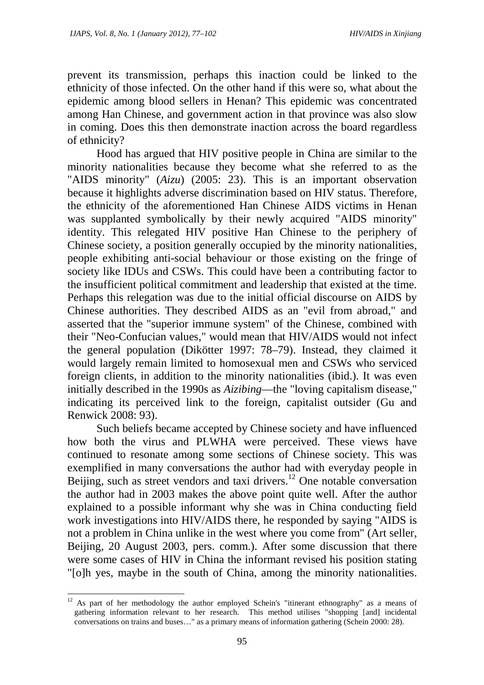prevent its transmission, perhaps this inaction could be linked to the ethnicity of those infected. On the other hand if this were so, what about the epidemic among blood sellers in Henan? This epidemic was concentrated among Han Chinese, and government action in that province was also slow in coming. Does this then demonstrate inaction across the board regardless of ethnicity?

Hood has argued that HIV positive people in China are similar to the minority nationalities because they become what she referred to as the "AIDS minority" (*Aizu*) (2005: 23). This is an important observation because it highlights adverse discrimination based on HIV status. Therefore, the ethnicity of the aforementioned Han Chinese AIDS victims in Henan was supplanted symbolically by their newly acquired "AIDS minority" identity. This relegated HIV positive Han Chinese to the periphery of Chinese society, a position generally occupied by the minority nationalities, people exhibiting anti-social behaviour or those existing on the fringe of society like IDUs and CSWs. This could have been a contributing factor to the insufficient political commitment and leadership that existed at the time. Perhaps this relegation was due to the initial official discourse on AIDS by Chinese authorities. They described AIDS as an "evil from abroad," and asserted that the "superior immune system" of the Chinese, combined with their "Neo-Confucian values," would mean that HIV/AIDS would not infect the general population (Dikötter 1997: 78–79). Instead, they claimed it would largely remain limited to homosexual men and CSWs who serviced foreign clients, in addition to the minority nationalities (ibid.). It was even initially described in the 1990s as *Aizibing*—the "loving capitalism disease," indicating its perceived link to the foreign, capitalist outsider (Gu and Renwick 2008: 93).

Such beliefs became accepted by Chinese society and have influenced how both the virus and PLWHA were perceived. These views have continued to resonate among some sections of Chinese society. This was exemplified in many conversations the author had with everyday people in Beijing, such as street vendors and taxi drivers.<sup>12</sup> One notable conversation the author had in 2003 makes the above point quite well. After the author explained to a possible informant why she was in China conducting field work investigations into HIV/AIDS there, he responded by saying "AIDS is not a problem in China unlike in the west where you come from" (Art seller, Beijing, 20 August 2003, pers. comm.). After some discussion that there were some cases of HIV in China the informant revised his position stating "[o]h yes, maybe in the south of China, among the minority nationalities.

<sup>&</sup>lt;sup>12</sup> As part of her methodology the author employed Schein's "itinerant ethnography" as a means of gathering information relevant to her research. This method utilises "shopping [and] incidental conversations on trains and buses…" as a primary means of information gathering (Schein 2000: 28).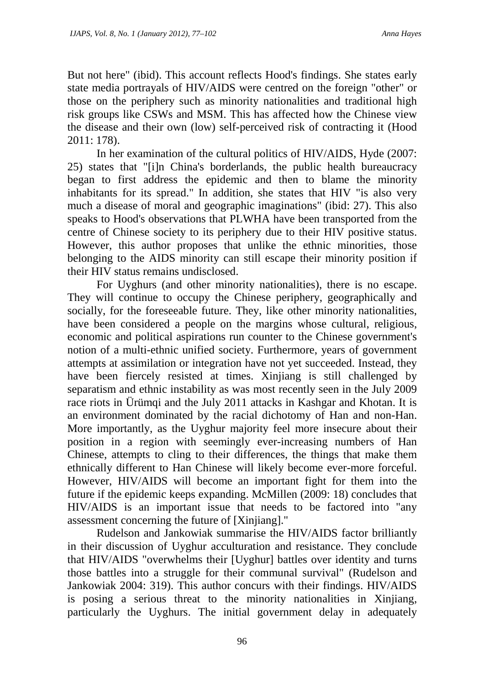But not here" (ibid). This account reflects Hood's findings. She states early state media portrayals of HIV/AIDS were centred on the foreign "other" or those on the periphery such as minority nationalities and traditional high risk groups like CSWs and MSM. This has affected how the Chinese view the disease and their own (low) self-perceived risk of contracting it (Hood 2011: 178).

In her examination of the cultural politics of HIV/AIDS, Hyde (2007: 25) states that "[i]n China's borderlands, the public health bureaucracy began to first address the epidemic and then to blame the minority inhabitants for its spread." In addition, she states that HIV "is also very much a disease of moral and geographic imaginations" (ibid: 27). This also speaks to Hood's observations that PLWHA have been transported from the centre of Chinese society to its periphery due to their HIV positive status. However, this author proposes that unlike the ethnic minorities, those belonging to the AIDS minority can still escape their minority position if their HIV status remains undisclosed.

For Uyghurs (and other minority nationalities), there is no escape. They will continue to occupy the Chinese periphery, geographically and socially, for the foreseeable future. They, like other minority nationalities, have been considered a people on the margins whose cultural, religious, economic and political aspirations run counter to the Chinese government's notion of a multi-ethnic unified society. Furthermore, years of government attempts at assimilation or integration have not yet succeeded. Instead, they have been fiercely resisted at times. Xinjiang is still challenged by separatism and ethnic instability as was most recently seen in the July 2009 race riots in Ürümqi and the July 2011 attacks in Kashgar and Khotan. It is an environment dominated by the racial dichotomy of Han and non-Han. More importantly, as the Uyghur majority feel more insecure about their position in a region with seemingly ever-increasing numbers of Han Chinese, attempts to cling to their differences, the things that make them ethnically different to Han Chinese will likely become ever-more forceful. However, HIV/AIDS will become an important fight for them into the future if the epidemic keeps expanding. McMillen (2009: 18) concludes that HIV/AIDS is an important issue that needs to be factored into "any assessment concerning the future of [Xinjiang]."

Rudelson and Jankowiak summarise the HIV/AIDS factor brilliantly in their discussion of Uyghur acculturation and resistance. They conclude that HIV/AIDS "overwhelms their [Uyghur] battles over identity and turns those battles into a struggle for their communal survival" (Rudelson and Jankowiak 2004: 319). This author concurs with their findings. HIV/AIDS is posing a serious threat to the minority nationalities in Xinjiang, particularly the Uyghurs. The initial government delay in adequately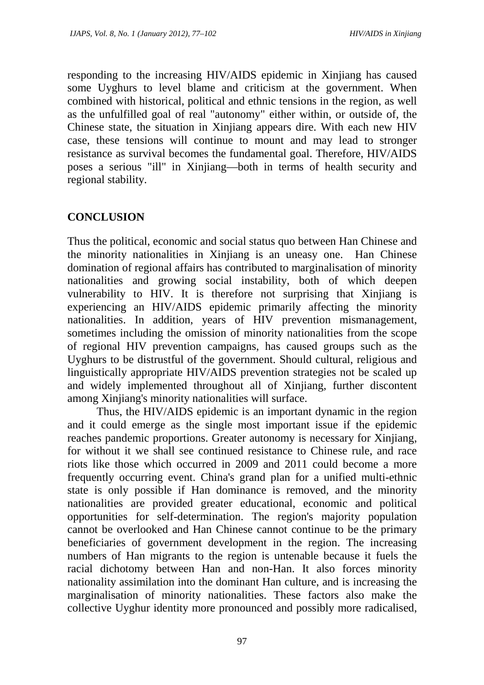responding to the increasing HIV/AIDS epidemic in Xinjiang has caused some Uyghurs to level blame and criticism at the government. When combined with historical, political and ethnic tensions in the region, as well as the unfulfilled goal of real "autonomy" either within, or outside of, the Chinese state, the situation in Xinjiang appears dire. With each new HIV case, these tensions will continue to mount and may lead to stronger resistance as survival becomes the fundamental goal. Therefore, HIV/AIDS poses a serious "ill" in Xinjiang—both in terms of health security and regional stability.

## **CONCLUSION**

Thus the political, economic and social status quo between Han Chinese and the minority nationalities in Xinjiang is an uneasy one. Han Chinese domination of regional affairs has contributed to marginalisation of minority nationalities and growing social instability, both of which deepen vulnerability to HIV. It is therefore not surprising that Xinjiang is experiencing an HIV/AIDS epidemic primarily affecting the minority nationalities. In addition, years of HIV prevention mismanagement, sometimes including the omission of minority nationalities from the scope of regional HIV prevention campaigns, has caused groups such as the Uyghurs to be distrustful of the government. Should cultural, religious and linguistically appropriate HIV/AIDS prevention strategies not be scaled up and widely implemented throughout all of Xinjiang, further discontent among Xinjiang's minority nationalities will surface.

Thus, the HIV/AIDS epidemic is an important dynamic in the region and it could emerge as the single most important issue if the epidemic reaches pandemic proportions. Greater autonomy is necessary for Xinjiang, for without it we shall see continued resistance to Chinese rule, and race riots like those which occurred in 2009 and 2011 could become a more frequently occurring event. China's grand plan for a unified multi-ethnic state is only possible if Han dominance is removed, and the minority nationalities are provided greater educational, economic and political opportunities for self-determination. The region's majority population cannot be overlooked and Han Chinese cannot continue to be the primary beneficiaries of government development in the region. The increasing numbers of Han migrants to the region is untenable because it fuels the racial dichotomy between Han and non-Han. It also forces minority nationality assimilation into the dominant Han culture, and is increasing the marginalisation of minority nationalities. These factors also make the collective Uyghur identity more pronounced and possibly more radicalised,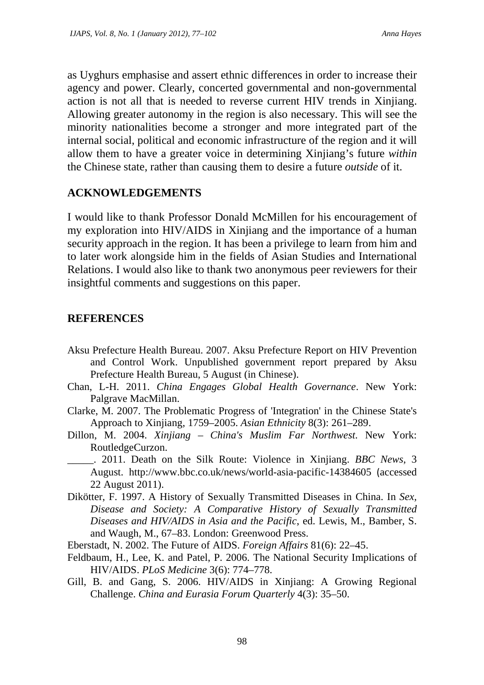as Uyghurs emphasise and assert ethnic differences in order to increase their agency and power. Clearly, concerted governmental and non-governmental action is not all that is needed to reverse current HIV trends in Xinjiang. Allowing greater autonomy in the region is also necessary. This will see the minority nationalities become a stronger and more integrated part of the internal social, political and economic infrastructure of the region and it will allow them to have a greater voice in determining Xinjiang's future *within* the Chinese state, rather than causing them to desire a future *outside* of it.

### **ACKNOWLEDGEMENTS**

I would like to thank Professor Donald McMillen for his encouragement of my exploration into HIV/AIDS in Xinjiang and the importance of a human security approach in the region. It has been a privilege to learn from him and to later work alongside him in the fields of Asian Studies and International Relations. I would also like to thank two anonymous peer reviewers for their insightful comments and suggestions on this paper.

## **REFERENCES**

- Aksu Prefecture Health Bureau. 2007. Aksu Prefecture Report on HIV Prevention and Control Work. Unpublished government report prepared by Aksu Prefecture Health Bureau, 5 August (in Chinese).
- Chan, L-H. 2011. *China Engages Global Health Governance*. New York: Palgrave MacMillan.
- Clarke, M. 2007. The Problematic Progress of 'Integration' in the Chinese State's Approach to Xinjiang, 1759–2005. *Asian Ethnicity* 8(3): 261–289.
- Dillon, M. 2004. *Xinjiang China's Muslim Far Northwest*. New York: RoutledgeCurzon.
	- \_\_\_\_\_. 2011. Death on the Silk Route: Violence in Xinjiang. *BBC News*, 3 August. http://www.bbc.co.uk/news/world-asia-pacific-14384605 (accessed 22 August 2011).
- Dikötter, F. 1997. A History of Sexually Transmitted Diseases in China. In *Sex, Disease and Society: A Comparative History of Sexually Transmitted Diseases and HIV/AIDS in Asia and the Pacific*, ed. Lewis, M., Bamber, S. and Waugh, M., 67–83. London: Greenwood Press.
- Eberstadt, N. 2002. The Future of AIDS. *Foreign Affairs* 81(6): 22–45.
- Feldbaum, H., Lee, K. and Patel, P. 2006. The National Security Implications of HIV/AIDS. *PLoS Medicine* 3(6): 774–778.
- Gill, B. and Gang, S. 2006. HIV/AIDS in Xinjiang: A Growing Regional Challenge. *China and Eurasia Forum Quarterly* 4(3): 35–50.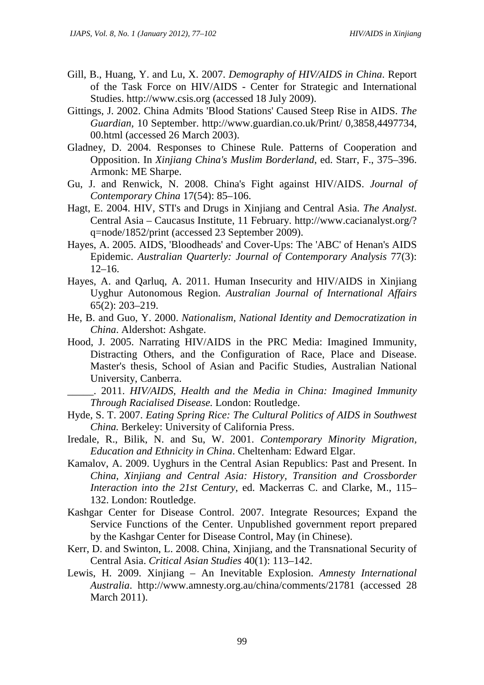- Gill, B., Huang, Y. and Lu, X. 2007. *Demography of HIV/AIDS in China*. Report of the Task Force on HIV/AIDS - Center for Strategic and International Studies. http://www.csis.org (accessed 18 July 2009).
- Gittings, J. 2002. China Admits 'Blood Stations' Caused Steep Rise in AIDS. *The Guardian,* 10 September. http://www.guardian.co.uk/Print/ 0,3858,4497734, 00.html (accessed 26 March 2003).
- Gladney, D. 2004. Responses to Chinese Rule. Patterns of Cooperation and Opposition. In *Xinjiang China's Muslim Borderland*, ed. Starr, F., 375–396. Armonk: ME Sharpe.
- Gu, J. and Renwick, N. 2008. China's Fight against HIV/AIDS. *Journal of Contemporary China* 17(54): 85–106.
- Hagt, E. 2004. HIV, STI's and Drugs in Xinjiang and Central Asia. *The Analyst*. Central Asia – Caucasus Institute, 11 February. http://www.cacianalyst.org/? q=node/1852/print (accessed 23 September 2009).
- Hayes, A. 2005. AIDS, 'Bloodheads' and Cover-Ups: The 'ABC' of Henan's AIDS Epidemic. *Australian Quarterly: Journal of Contemporary Analysis* 77(3): 12–16.
- Hayes, A. and Qarluq, A. 2011. Human Insecurity and HIV/AIDS in Xinjiang Uyghur Autonomous Region. *Australian Journal of International Affairs* 65(2): 203–219.
- He, B. and Guo, Y. 2000. *Nationalism, National Identity and Democratization in China*. Aldershot: Ashgate.
- Hood, J. 2005. Narrating HIV/AIDS in the PRC Media: Imagined Immunity, Distracting Others, and the Configuration of Race, Place and Disease. Master's thesis, School of Asian and Pacific Studies, Australian National University, Canberra.

\_\_\_\_\_. 2011. *HIV/AIDS, Health and the Media in China: Imagined Immunity Through Racialised Disease.* London: Routledge.

- Hyde, S. T. 2007. *Eating Spring Rice: The Cultural Politics of AIDS in Southwest China.* Berkeley: University of California Press.
- Iredale, R., Bilik, N. and Su, W. 2001. *Contemporary Minority Migration, Education and Ethnicity in China*. Cheltenham: Edward Elgar.
- Kamalov, A. 2009. Uyghurs in the Central Asian Republics: Past and Present. In *China, Xinjiang and Central Asia: History, Transition and Crossborder Interaction into the 21st Century*, ed. Mackerras C. and Clarke, M., 115– 132. London: Routledge.
- Kashgar Center for Disease Control. 2007. Integrate Resources; Expand the Service Functions of the Center. Unpublished government report prepared by the Kashgar Center for Disease Control, May (in Chinese).
- Kerr, D. and Swinton, L. 2008. China, Xinjiang, and the Transnational Security of Central Asia. *Critical Asian Studies* 40(1): 113–142.
- Lewis, H. 2009. Xinjiang An Inevitable Explosion. *Amnesty International Australia*. http://www.amnesty.org.au/china/comments/21781 (accessed 28 March 2011).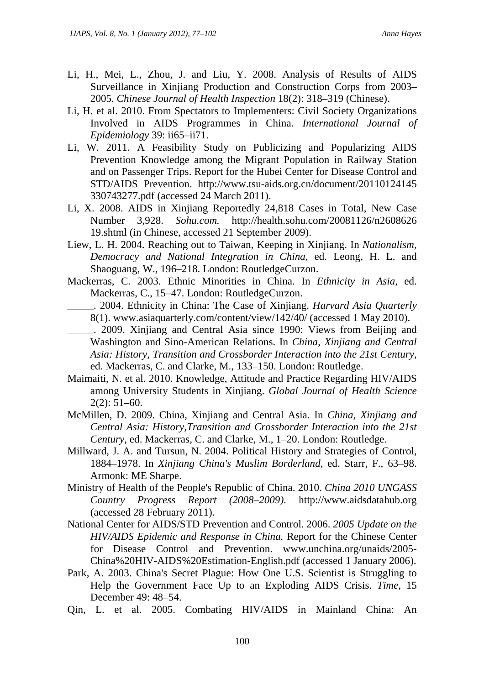- Li, H., Mei, L., Zhou, J. and Liu, Y. 2008. Analysis of Results of AIDS Surveillance in Xinjiang Production and Construction Corps from 2003– 2005. *Chinese Journal of Health Inspection* 18(2): 318–319 (Chinese).
- Li, H. et al. 2010. From Spectators to Implementers: Civil Society Organizations Involved in AIDS Programmes in China. *International Journal of Epidemiology* 39: ii65–ii71.
- Li, W. 2011. A Feasibility Study on Publicizing and Popularizing AIDS Prevention Knowledge among the Migrant Population in Railway Station and on Passenger Trips. Report for the Hubei Center for Disease Control and STD/AIDS Prevention. http://www.tsu-aids.org.cn/document/20110124145 330743277.pdf (accessed 24 March 2011).
- Li, X. 2008. AIDS in Xinjiang Reportedly 24,818 Cases in Total, New Case Number 3,928. *Sohu.com.* http://health.sohu.com/20081126/n2608626 19.shtml (in Chinese, accessed 21 September 2009).
- Liew, L. H. 2004. Reaching out to Taiwan, Keeping in Xinjiang. In *Nationalism, Democracy and National Integration in China*, ed. Leong, H. L. and Shaoguang, W., 196–218. London: RoutledgeCurzon.
- Mackerras, C. 2003. Ethnic Minorities in China. In *Ethnicity in Asia*, ed. Mackerras, C., 15–47. London: RoutledgeCurzon.
	- \_\_\_\_\_. 2004. Ethnicity in China: The Case of Xinjiang. *Harvard Asia Quarterly* 8(1). www.asiaquarterly.com/content/view/142/40/ (accessed 1 May 2010).
	- \_\_\_\_\_. 2009. Xinjiang and Central Asia since 1990: Views from Beijing and Washington and Sino-American Relations. In *China, Xinjiang and Central Asia: History, Transition and Crossborder Interaction into the 21st Century*, ed. Mackerras, C. and Clarke, M., 133–150. London: Routledge.
- Maimaiti, N. et al. 2010. Knowledge, Attitude and Practice Regarding HIV/AIDS among University Students in Xinjiang. *Global Journal of Health Science* 2(2): 51–60.
- McMillen, D. 2009. China, Xinjiang and Central Asia. In *China, Xinjiang and Central Asia: History,Transition and Crossborder Interaction into the 21st Century*, ed. Mackerras, C. and Clarke, M., 1–20. London: Routledge.
- Millward, J. A. and Tursun, N. 2004. Political History and Strategies of Control, 1884–1978. In *Xinjiang China's Muslim Borderland*, ed. Starr, F., 63–98. Armonk: ME Sharpe.
- Ministry of Health of the People's Republic of China. 2010. *China 2010 UNGASS Country Progress Report (2008–2009)*. http://www.aidsdatahub.org (accessed 28 February 2011).
- National Center for AIDS/STD Prevention and Control. 2006. *2005 Update on the HIV/AIDS Epidemic and Response in China.* Report for the Chinese Center for Disease Control and Prevention. www.unchina.org/unaids/2005- China%20HIV-AIDS%20Estimation-English.pdf (accessed 1 January 2006).
- Park, A. 2003. China's Secret Plague: How One U.S. Scientist is Struggling to Help the Government Face Up to an Exploding AIDS Crisis. *Time*, 15 December 49: 48–54.
- Qin, L. et al. 2005. Combating HIV/AIDS in Mainland China: An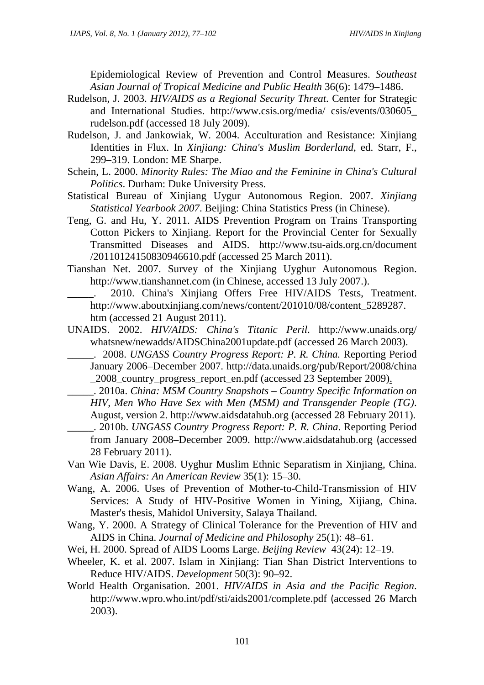Epidemiological Review of Prevention and Control Measures. *Southeast Asian Journal of Tropical Medicine and Public Health* 36(6): 1479–1486.

- Rudelson, J. 2003. *HIV/AIDS as a Regional Security Threat*. Center for Strategic and International Studies. http://www.csis.org/media/ csis/events/030605\_ rudelson.pdf (accessed 18 July 2009).
- Rudelson, J. and Jankowiak, W. 2004. Acculturation and Resistance: Xinjiang Identities in Flux. In *Xinjiang: China's Muslim Borderland*, ed. Starr, F., 299–319. London: ME Sharpe.
- Schein, L. 2000. *Minority Rules: The Miao and the Feminine in China's Cultural Politics*. Durham: Duke University Press.
- Statistical Bureau of Xinjiang Uygur Autonomous Region. 2007. *Xinjiang Statistical Yearbook 2007*. Beijing: China Statistics Press (in Chinese).
- Teng, G. and Hu, Y. 2011. AIDS Prevention Program on Trains Transporting Cotton Pickers to Xinjiang. Report for the Provincial Center for Sexually Transmitted Diseases and AIDS. http://www.tsu-aids.org.cn/document /20110124150830946610.pdf (accessed 25 March 2011).
- Tianshan Net. 2007. Survey of the Xinjiang Uyghur Autonomous Region. http://www.tianshannet.com (in Chinese, accessed 13 July 2007.).
	- 2010. China's Xinjiang Offers Free HIV/AIDS Tests, Treatment. http://www.aboutxinjiang.com/news/content/201010/08/content\_5289287. htm (accessed 21 August 2011).
- UNAIDS. 2002. *HIV/AIDS: China's Titanic Peril*. http://www.unaids.org/ whatsnew/newadds/AIDSChina2001update.pdf (accessed 26 March 2003).
	- \_\_\_\_\_. 2008. *UNGASS Country Progress Report: P. R. China.* Reporting Period January 2006–December 2007. http://data.unaids.org/pub/Report/2008/china \_2008\_country\_progress\_report\_en.pdf (accessed 23 September 2009).
	- \_\_\_\_\_. 2010a. *China: MSM Country Snapshots Country Specific Information on HIV, Men Who Have Sex with Men (MSM) and Transgender People (TG)*. August, version 2. http://www.aidsdatahub.org (accessed 28 February 2011).
- \_\_\_\_\_. 2010b. *UNGASS Country Progress Report: P. R. China*. Reporting Period from January 2008–December 2009. http://www.aidsdatahub.org (accessed 28 February 2011).
- Van Wie Davis, E. 2008. Uyghur Muslim Ethnic Separatism in Xinjiang, China. *Asian Affairs: An American Review* 35(1): 15–30.
- Wang, A. 2006. Uses of Prevention of Mother-to-Child-Transmission of HIV Services: A Study of HIV-Positive Women in Yining, Xijiang, China. Master's thesis, Mahidol University, Salaya Thailand.
- Wang, Y. 2000. A Strategy of Clinical Tolerance for the Prevention of HIV and AIDS in China. *Journal of Medicine and Philosophy* 25(1): 48–61.
- Wei, H. 2000. Spread of AIDS Looms Large. *Beijing Review* 43(24): 12–19.
- Wheeler, K. et al. 2007. Islam in Xinjiang: Tian Shan District Interventions to Reduce HIV/AIDS. *Development* 50(3): 90–92.
- World Health Organisation. 2001. *HIV/AIDS in Asia and the Pacific Region*. http://www.wpro.who.int/pdf/sti/aids2001/complete.pdf (accessed 26 March 2003).